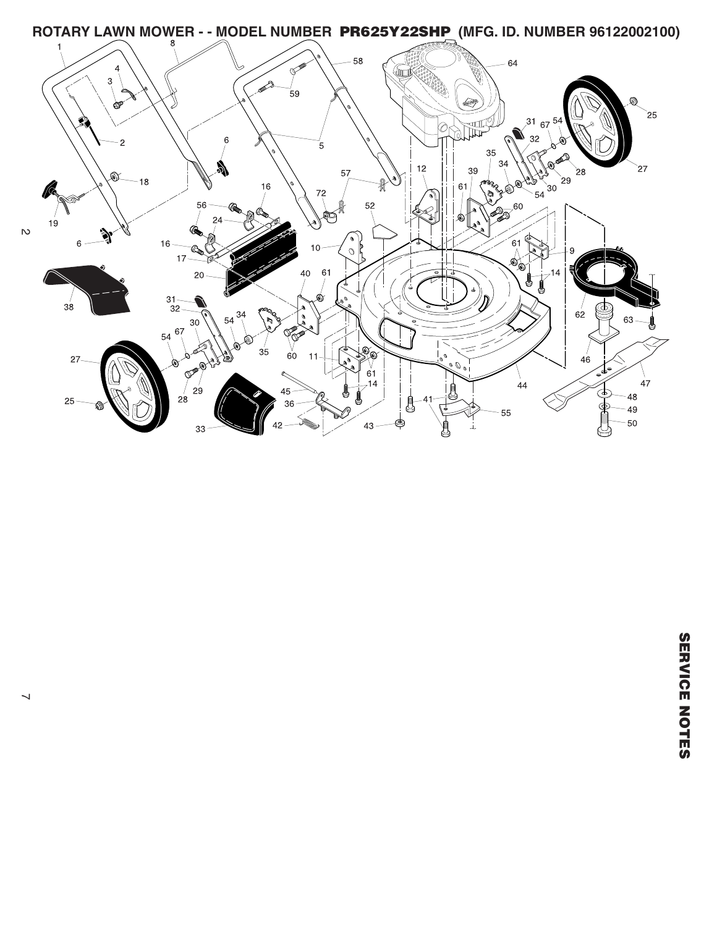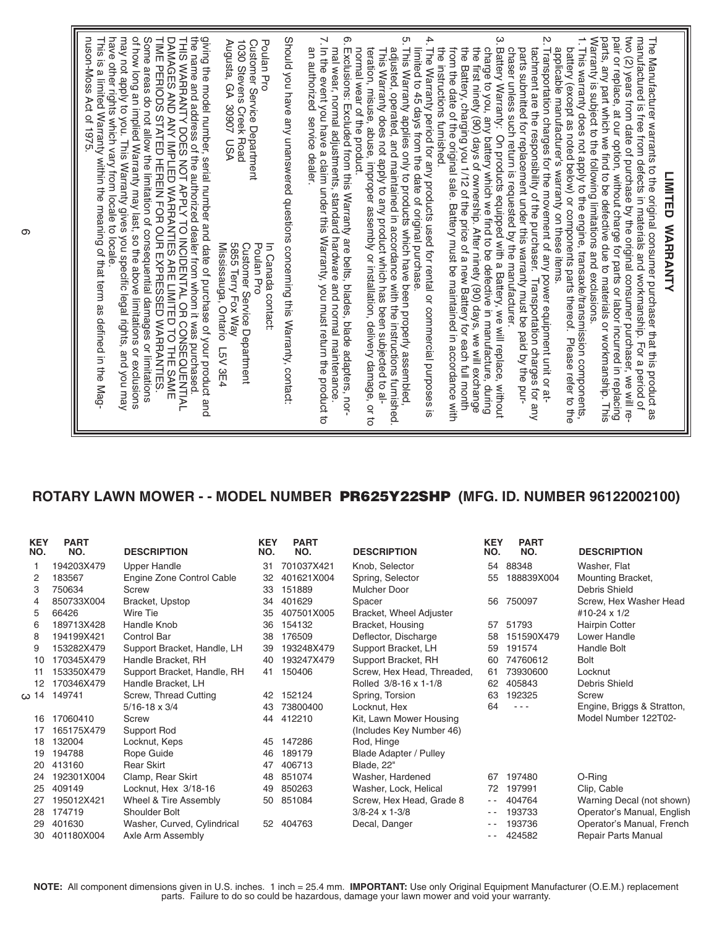## **ROTARY LAWN MOWER - - MODEL NUMBER PR625Y22SHP (MFG. ID. NUMBER 96122002100)**

| <b>KEY</b><br>NO. | <b>PART</b><br>NO. | <b>DESCRIPTION</b>          | <b>KEY</b><br>NO. | <b>PART</b><br>NO. | <b>DESCRIPTION</b>            | <b>KEY</b><br>NO. | <b>PART</b><br>NO. | <b>DESCRIPTION</b>         |
|-------------------|--------------------|-----------------------------|-------------------|--------------------|-------------------------------|-------------------|--------------------|----------------------------|
|                   | 194203X479         | <b>Upper Handle</b>         | 31                | 701037X421         | Knob, Selector                | 54                | 88348              | Washer, Flat               |
| 2                 | 183567             | Engine Zone Control Cable   | 32                | 401621X004         | Spring, Selector              | 55                | 188839X004         | Mounting Bracket,          |
| 3                 | 750634             | Screw                       | 33                | 151889             | <b>Mulcher Door</b>           |                   |                    | Debris Shield              |
| 4                 | 850733X004         | Bracket, Upstop             | 34                | 401629             | Spacer                        | 56                | 750097             | Screw, Hex Washer Head     |
| 5                 | 66426              | Wire Tie                    | 35                | 407501X005         | Bracket, Wheel Adjuster       |                   |                    | #10-24 x 1/2               |
| 6                 | 189713X428         | Handle Knob                 | 36                | 154132             | Bracket, Housing              | 57                | 51793              | <b>Hairpin Cotter</b>      |
| 8                 | 194199X421         | <b>Control Bar</b>          | 38                | 176509             | Deflector, Discharge          | 58                | 151590X479         | Lower Handle               |
| 9                 | 153282X479         | Support Bracket, Handle, LH | 39                | 193248X479         | Support Bracket, LH           | 59                | 191574             | Handle Bolt                |
| 10                | 170345X479         | Handle Bracket, RH          | 40                | 193247X479         | Support Bracket, RH           | 60                | 74760612           | <b>Bolt</b>                |
| 11                | 153350X479         | Support Bracket, Handle, RH | 41                | 150406             | Screw, Hex Head, Threaded,    | 61                | 73930600           | Locknut                    |
| 12                | 170346X479         | Handle Bracket, LH          |                   |                    | Rolled 3/8-16 x 1-1/8         | 62                | 405843             | Debris Shield              |
| ω 14              | 149741             | Screw, Thread Cutting       | 42                | 152124             | Spring, Torsion               | 63                | 192325             | Screw                      |
|                   |                    | $5/16 - 18 \times 3/4$      | 43                | 73800400           | Locknut, Hex                  | 64                | $- - -$            | Engine, Briggs & Stratton, |
| 16                | 17060410           | Screw                       | 44                | 412210             | Kit, Lawn Mower Housing       |                   |                    | Model Number 122T02-       |
| 17                | 165175X479         | Support Rod                 |                   |                    | (Includes Key Number 46)      |                   |                    |                            |
| 18                | 132004             | Locknut, Keps               | 45                | 147286             | Rod, Hinge                    |                   |                    |                            |
| 19                | 194788             | Rope Guide                  | 46                | 189179             | <b>Blade Adapter / Pulley</b> |                   |                    |                            |
| 20                | 413160             | <b>Rear Skirt</b>           | 47                | 406713             | Blade, 22"                    |                   |                    |                            |
| 24                | 192301X004         | Clamp, Rear Skirt           | 48                | 851074             | Washer, Hardened              | 67                | 197480             | O-Ring                     |
| 25                | 409149             | Locknut, Hex 3/18-16        | 49                | 850263             | Washer, Lock, Helical         | 72                | 197991             | Clip, Cable                |
| 27                | 195012X421         | Wheel & Tire Assembly       | 50                | 851084             | Screw, Hex Head, Grade 8      | $ -$              | 404764             | Warning Decal (not shown)  |
| 28                | 174719             | Shoulder Bolt               |                   |                    | $3/8 - 24 \times 1 - 3/8$     | $ -$              | 193733             | Operator's Manual, English |
| 29                | 401630             | Washer, Curved, Cylindrical | 52                | 404763             | Decal, Danger                 | $ -$              | 193736             | Operator's Manual, French  |
| 30                | 401180X004         | Axle Arm Assembly           |                   |                    |                               | $ -$              | 424582             | <b>Repair Parts Manual</b> |

**NOTE:** All component dimensions given in U.S. inches. 1 inch = 25.4 mm. **IMPORTANT:** Use only Original Equipment Manufacturer (O.E.M.) replacement parts. Failure to do so could be hazardous, damage your lawn mower and void your warranty.